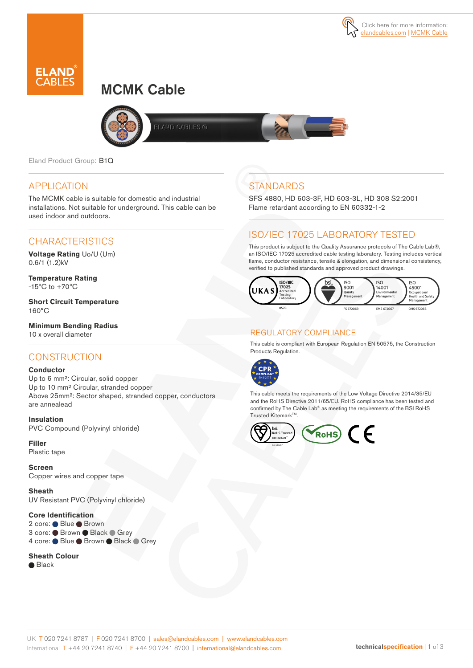

# MCMK Cable



AND CABLES @

Eland Product Group: B1Q

### APPLICATION

The MCMK cable is suitable for domestic and industrial installations. Not suitable for underground. This cable can be used indoor and outdoors.

### **CHARACTERISTICS**

**Voltage Rating** Uo/U (Um) 0.6/1 (1.2)kV

**Temperature Rating** -15ºC to +70ºC

**Short Circuit Temperature**  $160^{\circ}$ C

**Minimum Bending Radius**  10 x overall diameter

### **CONSTRUCTION**

#### **Conductor**

Up to 6 mm²: Circular, solid copper Up to 10 mm² Circular, stranded copper Above 25mm²: Sector shaped, stranded copper, conductors are annealead

**Insulation** PVC Compound (Polyvinyl chloride)

**Filler**  Plastic tape

**Screen** Copper wires and copper tape

**Sheath** UV Resistant PVC (Polyvinyl chloride)

#### **Core Identification**

2 core: ● Blue ● Brown 3 core: Brown Black Grey 4 core: Blue Brown Black Grey

#### **Sheath Colour**

● Black

## **STANDARDS**

SFS 4880, HD 603-3F, HD 603-3L, HD 308 S2:2001 Flame retardant according to EN 60332-1-2

### ISO/IEC 17025 LABORATORY TESTED

This product is subject to the Quality Assurance protocols of The Cable Lab®, an ISO/IEC 17025 accredited cable testing laboratory. Testing includes vertical flame, conductor resistance, tensile & elongation, and dimensional consistency, verified to published standards and approved product drawings.



### REGULATORY COMPLIANCE

This cable is compliant with European Regulation EN 50575, the Construction Products Regulation.



This cable meets the requirements of the Low Voltage Directive 2014/35/EU and the RoHS Directive 2011/65/EU. RoHS compliance has been tested and confirmed by The Cable Lab® as meeting the requirements of the BSI RoHS Trusted KitemarkTM.

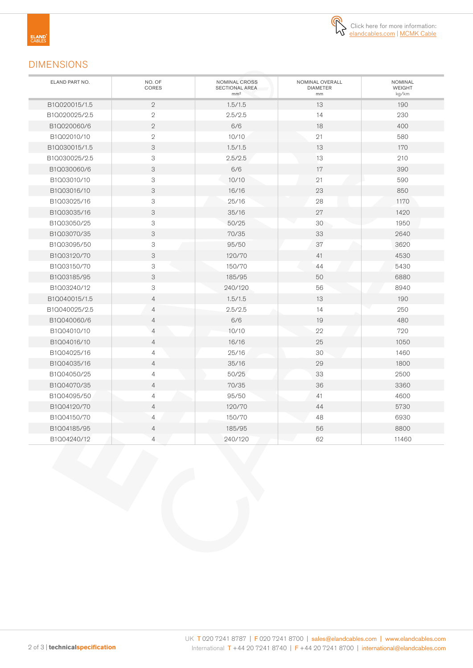

### DIMENSIONS

| ELAND PART NO. | NO. OF<br>CORES           | NOMINAL CROSS<br><b>SECTIONAL AREA</b><br>mm <sup>2</sup> | NOMINAL OVERALL<br><b>DIAMETER</b><br>mm | <b>NOMINAL</b><br><b>WEIGHT</b><br>kg/km |
|----------------|---------------------------|-----------------------------------------------------------|------------------------------------------|------------------------------------------|
| B1Q020015/1.5  | $\mathbf{2}$              | 1.5/1.5                                                   | 13                                       | 190                                      |
| B1Q020025/2.5  | $\mathbf{2}$              | 2.5/2.5                                                   | 14                                       | 230                                      |
| B1Q020060/6    | $\mathbf{2}$              | 6/6                                                       | 18                                       | 400                                      |
| B1Q02010/10    | $\mathbf{2}$              | 10/10                                                     | 21                                       | 580                                      |
| B1Q030015/1.5  | 3                         | 1.5/1.5                                                   | 13                                       | 170                                      |
| B1Q030025/2.5  | 3                         | 2.5/2.5                                                   | 13                                       | 210                                      |
| B1Q030060/6    | 3                         | 6/6                                                       | 17                                       | 390                                      |
| B1Q03010/10    | 3                         | 10/10                                                     | 21                                       | 590                                      |
| B1Q03016/10    | 3                         | 16/16                                                     | 23                                       | 850                                      |
| B1Q03025/16    | 3                         | 25/16                                                     | 28                                       | 1170                                     |
| B1Q03035/16    | 3                         | 35/16                                                     | 27                                       | 1420                                     |
| B1Q03050/25    | 3                         | 50/25                                                     | 30                                       | 1950                                     |
| B1Q03070/35    | 3                         | 70/35                                                     | 33                                       | 2640                                     |
| B1Q03095/50    | 3                         | 95/50                                                     | 37                                       | 3620                                     |
| B1Q03120/70    | 3                         | 120/70                                                    | 41                                       | 4530                                     |
| B1Q03150/70    | 3                         | 150/70                                                    | 44                                       | 5430                                     |
| B1Q03185/95    | 3                         | 185/95                                                    | 50                                       | 6880                                     |
| B1Q03240/12    | $\ensuremath{\mathsf{3}}$ | 240/120                                                   | 56                                       | 8940                                     |
| B1Q040015/1.5  | $\overline{4}$            | 1.5/1.5                                                   | 13                                       | 190                                      |
| B1Q040025/2.5  | $\overline{4}$            | 2.5/2.5                                                   | 14                                       | 250                                      |
| B1Q040060/6    | $\overline{4}$            | 6/6                                                       | 19                                       | 480                                      |
| B1Q04010/10    | $\overline{4}$            | 10/10                                                     | 22                                       | 720                                      |
| B1Q04016/10    | $\overline{4}$            | 16/16                                                     | 25                                       | 1050                                     |
| B1Q04025/16    | $\overline{4}$            | 25/16                                                     | 30                                       | 1460                                     |
| B1Q04035/16    | $\overline{4}$            | 35/16                                                     | 29                                       | 1800                                     |
| B1Q04050/25    | $\overline{4}$            | 50/25                                                     | 33                                       | 2500                                     |
| B1Q04070/35    | $\overline{4}$            | 70/35                                                     | 36                                       | 3360                                     |
| B1Q04095/50    | $\overline{4}$            | 95/50                                                     | 41                                       | 4600                                     |
| B1Q04120/70    | $\overline{4}$            | 120/70                                                    | 44                                       | 5730                                     |
| B1Q04150/70    | $\overline{4}$            | 150/70                                                    | 48                                       | 6930                                     |
| B1Q04185/95    | $\overline{4}$            | 185/95                                                    | 56                                       | 8800                                     |
| B1Q04240/12    | $\overline{4}$            | 240/120                                                   | 62                                       | 11460                                    |